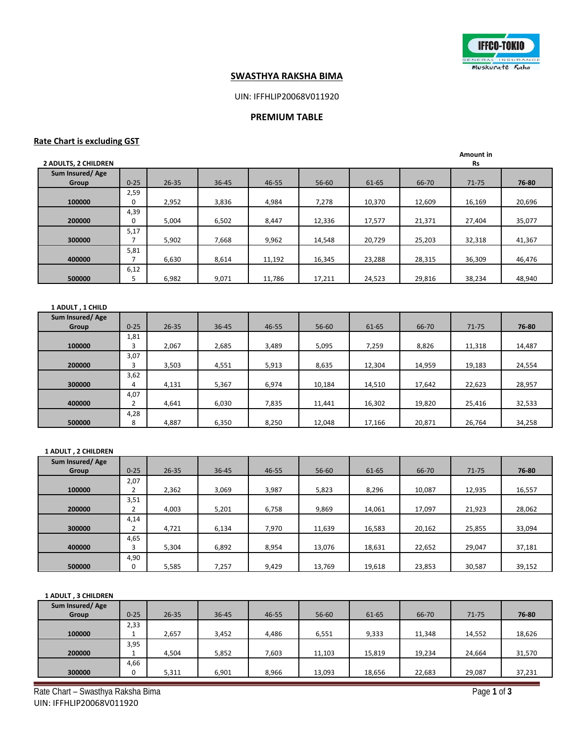

## **SWASTHYA RAKSHA BIMA**

# UIN: IFFHLIP20068V011920

### **PREMIUM TABLE**

## **Rate Chart is excluding GST**

| <b>2 ADULTS, 2 CHILDREN</b> |          |           |           |        |           |        |        | Amount in<br><b>Rs</b> |        |
|-----------------------------|----------|-----------|-----------|--------|-----------|--------|--------|------------------------|--------|
| Sum Insured/Age             |          |           |           |        |           |        |        |                        |        |
| Group                       | $0 - 25$ | $26 - 35$ | $36 - 45$ | 46-55  | $56 - 60$ | 61-65  | 66-70  | $71 - 75$              | 76-80  |
|                             | 2,59     |           |           |        |           |        |        |                        |        |
| 100000                      | 0        | 2,952     | 3,836     | 4,984  | 7,278     | 10,370 | 12,609 | 16,169                 | 20,696 |
|                             | 4,39     |           |           |        |           |        |        |                        |        |
| 200000                      | 0        | 5,004     | 6,502     | 8,447  | 12,336    | 17,577 | 21,371 | 27,404                 | 35,077 |
|                             | 5,17     |           |           |        |           |        |        |                        |        |
| 300000                      |          | 5,902     | 7,668     | 9,962  | 14,548    | 20,729 | 25,203 | 32,318                 | 41,367 |
|                             | 5,81     |           |           |        |           |        |        |                        |        |
| 400000                      |          | 6,630     | 8,614     | 11,192 | 16,345    | 23,288 | 28,315 | 36,309                 | 46,476 |
|                             | 6,12     |           |           |        |           |        |        |                        |        |
| 500000                      | כ        | 6,982     | 9,071     | 11,786 | 17,211    | 24,523 | 29,816 | 38,234                 | 48,940 |
|                             |          |           |           |        |           |        |        |                        |        |

#### **1 ADULT , 1 CHILD**

| Sum Insured/Age |          |           |           |       |           |        |        |           |        |
|-----------------|----------|-----------|-----------|-------|-----------|--------|--------|-----------|--------|
| Group           | $0 - 25$ | $26 - 35$ | $36 - 45$ | 46-55 | $56 - 60$ | 61-65  | 66-70  | $71 - 75$ | 76-80  |
|                 | 1,81     |           |           |       |           |        |        |           |        |
| 100000          |          | 2.067     | 2,685     | 3,489 | 5,095     | 7,259  | 8,826  | 11,318    | 14,487 |
|                 | 3,07     |           |           |       |           |        |        |           |        |
| 200000          |          | 3,503     | 4,551     | 5,913 | 8,635     | 12,304 | 14,959 | 19,183    | 24,554 |
|                 | 3,62     |           |           |       |           |        |        |           |        |
| 300000          | 4        | 4,131     | 5,367     | 6,974 | 10,184    | 14,510 | 17,642 | 22,623    | 28,957 |
|                 | 4,07     |           |           |       |           |        |        |           |        |
| 400000          |          | 4,641     | 6,030     | 7,835 | 11,441    | 16,302 | 19,820 | 25,416    | 32,533 |
|                 | 4,28     |           |           |       |           |        |        |           |        |
| 500000          | 8        | 4,887     | 6,350     | 8,250 | 12,048    | 17,166 | 20,871 | 26,764    | 34,258 |

**1 ADULT , 2 CHILDREN**

| Sum Insured/Age |          |           |           |       |           |        |        |           |        |
|-----------------|----------|-----------|-----------|-------|-----------|--------|--------|-----------|--------|
| <b>Group</b>    | $0 - 25$ | $26 - 35$ | $36 - 45$ | 46-55 | $56 - 60$ | 61-65  | 66-70  | $71 - 75$ | 76-80  |
|                 | 2,07     |           |           |       |           |        |        |           |        |
| 100000          |          | 2,362     | 3,069     | 3,987 | 5,823     | 8,296  | 10,087 | 12,935    | 16,557 |
|                 | 3,51     |           |           |       |           |        |        |           |        |
| 200000          |          | 4,003     | 5,201     | 6,758 | 9,869     | 14,061 | 17,097 | 21,923    | 28,062 |
|                 | 4,14     |           |           |       |           |        |        |           |        |
| 300000          |          | 4,721     | 6,134     | 7,970 | 11,639    | 16,583 | 20,162 | 25,855    | 33,094 |
|                 | 4,65     |           |           |       |           |        |        |           |        |
| 400000          |          | 5,304     | 6,892     | 8,954 | 13,076    | 18,631 | 22,652 | 29,047    | 37,181 |
|                 | 4,90     |           |           |       |           |        |        |           |        |
| 500000          |          | 5,585     | 7,257     | 9,429 | 13,769    | 19,618 | 23,853 | 30,587    | 39,152 |

# **1 ADULT , 3 CHILDREN**

| Sum Insured/Age |          |           |           |       |        |        |        |           |        |
|-----------------|----------|-----------|-----------|-------|--------|--------|--------|-----------|--------|
| Group           | $0 - 25$ | $26 - 35$ | $36 - 45$ | 46-55 | 56-60  | 61-65  | 66-70  | $71 - 75$ | 76-80  |
|                 | 2,33     |           |           |       |        |        |        |           |        |
| 100000          |          | 2,657     | 3,452     | 4,486 | 6,551  | 9,333  | 11,348 | 14,552    | 18,626 |
|                 | 3,95     |           |           |       |        |        |        |           |        |
| 200000          | ۰        | 4,504     | 5,852     | 7,603 | 11,103 | 15,819 | 19,234 | 24,664    | 31,570 |
|                 | 4,66     |           |           |       |        |        |        |           |        |
| 300000          |          | 5,311     | 6,901     | 8,966 | 13,093 | 18,656 | 22,683 | 29,087    | 37,231 |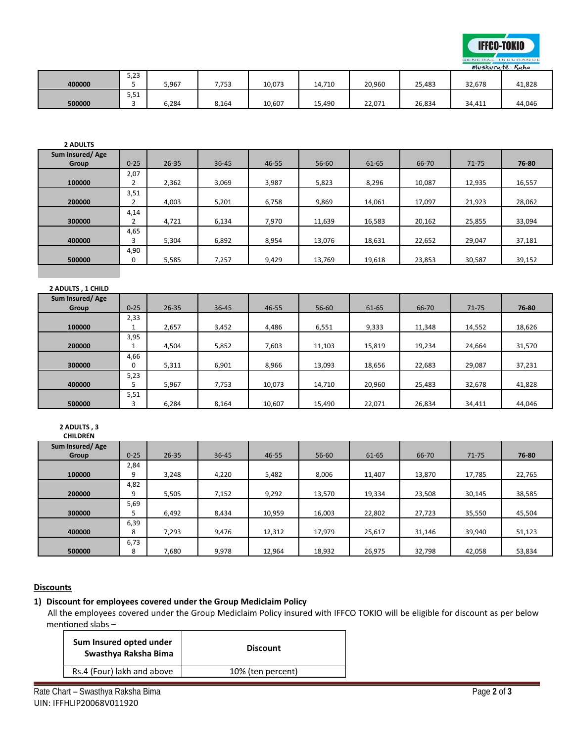

|        |      |       |       |        |        |        |        |        | $m\nu$ <sub>2</sub> $N\nu$ $n\nu$ <sub>1</sub> $\epsilon$ $n\alpha$ |
|--------|------|-------|-------|--------|--------|--------|--------|--------|---------------------------------------------------------------------|
|        | 5,23 |       |       |        |        |        |        |        |                                                                     |
| 400000 |      | 5,967 | 7,753 | 10,073 | 14,710 | 20,960 | 25,483 | 32,678 | 41,828                                                              |
|        | 5,51 |       |       |        |        |        |        |        |                                                                     |
| 500000 |      | 5,284 | 8,164 | 10,607 | 15,490 | 22.071 | 26,834 | 34,411 | 44,046                                                              |

| <b>2 ADULTS</b>   |                |           |       |       |        |        |        |           |        |
|-------------------|----------------|-----------|-------|-------|--------|--------|--------|-----------|--------|
| Sum Insured/Age   |                |           |       |       |        |        |        |           |        |
| Group             | $0 - 25$       | $26 - 35$ | 36-45 | 46-55 | 56-60  | 61-65  | 66-70  | $71 - 75$ | 76-80  |
|                   | 2,07           |           |       |       |        |        |        |           |        |
| 100000            | $\overline{2}$ | 2,362     | 3,069 | 3,987 | 5,823  | 8,296  | 10,087 | 12,935    | 16,557 |
|                   | 3,51           |           |       |       |        |        |        |           |        |
| 200000            | $\overline{2}$ | 4,003     | 5,201 | 6,758 | 9,869  | 14,061 | 17,097 | 21,923    | 28,062 |
|                   | 4,14           |           |       |       |        |        |        |           |        |
| 300000            | $\overline{2}$ | 4,721     | 6,134 | 7,970 | 11,639 | 16,583 | 20,162 | 25,855    | 33,094 |
|                   | 4,65           |           |       |       |        |        |        |           |        |
| 400000            | 3              | 5,304     | 6,892 | 8,954 | 13,076 | 18,631 | 22,652 | 29,047    | 37,181 |
|                   | 4,90           |           |       |       |        |        |        |           |        |
| 500000            | 0              | 5,585     | 7,257 | 9,429 | 13,769 | 19,618 | 23,853 | 30,587    | 39,152 |
|                   |                |           |       |       |        |        |        |           |        |
|                   |                |           |       |       |        |        |        |           |        |
| 2 ADULTS, 1 CHILD |                |           |       |       |        |        |        |           |        |
| Sum Insured/Age   |                |           |       |       |        |        |        |           |        |
| Group             | $0 - 25$       | $26 - 35$ | 36-45 | 46-55 | 56-60  | 61-65  | 66-70  | $71 - 75$ | 76-80  |
|                   | 2,33           |           |       |       |        |        |        |           |        |
| 100000            | 1              | 2,657     | 3,452 | 4,486 | 6,551  | 9,333  | 11,348 | 14,552    | 18,626 |
|                   | 3,95           |           |       |       |        |        |        |           |        |
| 200000            | $\mathbf{1}$   | 4,504     | 5,852 | 7,603 | 11,103 | 15,819 | 19,234 | 24,664    | 31,570 |
|                   | 4,66           |           |       |       |        |        |        |           |        |

| Sum Insured/Age |          |           |           |        |        |        |        |           |        |
|-----------------|----------|-----------|-----------|--------|--------|--------|--------|-----------|--------|
| Group           | $0 - 25$ | $26 - 35$ | $36 - 45$ | 46-55  | 56-60  | 61-65  | 66-70  | $71 - 75$ | 76-80  |
|                 | 2,33     |           |           |        |        |        |        |           |        |
| 100000          |          | 2,657     | 3,452     | 4,486  | 6,551  | 9,333  | 11,348 | 14,552    | 18,626 |
|                 | 3,95     |           |           |        |        |        |        |           |        |
| 200000          |          | 4,504     | 5,852     | 7,603  | 11,103 | 15,819 | 19,234 | 24,664    | 31,570 |
|                 | 4,66     |           |           |        |        |        |        |           |        |
| 300000          | 0        | 5,311     | 6,901     | 8,966  | 13,093 | 18,656 | 22,683 | 29,087    | 37,231 |
|                 | 5,23     |           |           |        |        |        |        |           |        |
| 400000          |          | 5,967     | 7,753     | 10,073 | 14,710 | 20,960 | 25,483 | 32,678    | 41,828 |
|                 | 5,51     |           |           |        |        |        |        |           |        |
| 500000          |          | 6,284     | 8,164     | 10,607 | 15,490 | 22,071 | 26,834 | 34,411    | 44,046 |

# **2 ADULTS , 3**

| CHILDREN |  |
|----------|--|
|          |  |

| Sum Insured/Age |          |           |           |        |           |        |        |           |        |
|-----------------|----------|-----------|-----------|--------|-----------|--------|--------|-----------|--------|
| Group           | $0 - 25$ | $26 - 35$ | $36 - 45$ | 46-55  | $56 - 60$ | 61-65  | 66-70  | $71 - 75$ | 76-80  |
|                 | 2,84     |           |           |        |           |        |        |           |        |
| 100000          | 9        | 3.248     | 4,220     | 5,482  | 8.006     | 11,407 | 13,870 | 17,785    | 22,765 |
|                 | 4,82     |           |           |        |           |        |        |           |        |
| 200000          | 9        | 5,505     | 7,152     | 9,292  | 13,570    | 19,334 | 23,508 | 30,145    | 38,585 |
|                 | 5,69     |           |           |        |           |        |        |           |        |
| 300000          |          | 6,492     | 8,434     | 10,959 | 16,003    | 22,802 | 27,723 | 35,550    | 45,504 |
|                 | 6,39     |           |           |        |           |        |        |           |        |
| 400000          | 8        | 7,293     | 9,476     | 12,312 | 17,979    | 25,617 | 31,146 | 39,940    | 51,123 |
|                 | 6,73     |           |           |        |           |        |        |           |        |
| 500000          | 8        | 7,680     | 9,978     | 12,964 | 18,932    | 26,975 | 32,798 | 42,058    | 53,834 |

# **Discounts**

## **1) Discount for employees covered under the Group Mediclaim Policy**

 All the employees covered under the Group Mediclaim Policy insured with IFFCO TOKIO will be eligible for discount as per below mentioned slabs –

| Sum Insured opted under<br>Swasthya Raksha Bima | <b>Discount</b>   |  |  |  |  |
|-------------------------------------------------|-------------------|--|--|--|--|
| Rs.4 (Four) lakh and above                      | 10% (ten percent) |  |  |  |  |
|                                                 |                   |  |  |  |  |